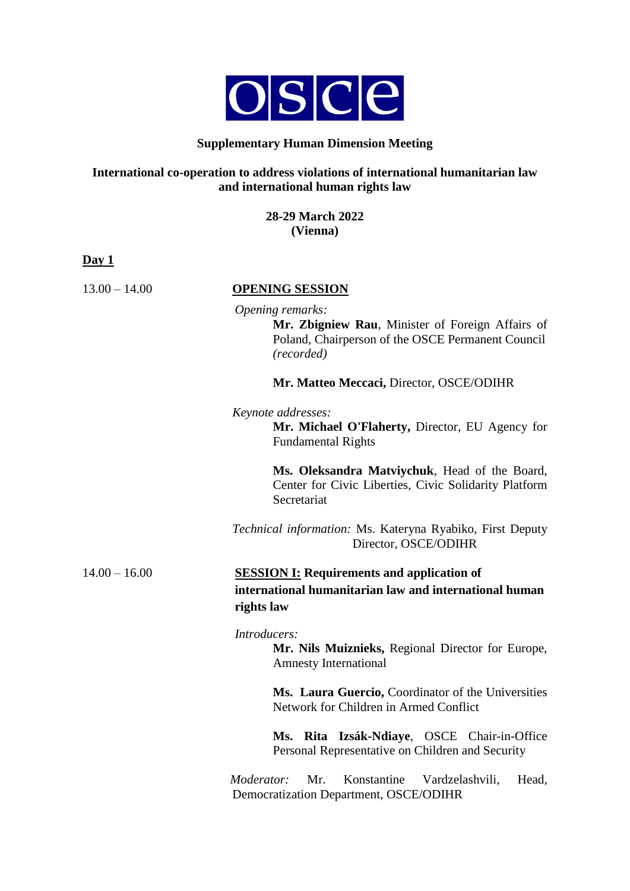

### **Supplementary Human Dimension Meeting**

## **International co-operation to address violations of international humanitarian law and international human rights law**

**28-29 March 2022 (Vienna)**

**Day 1**

13.00 – 14.00 **OPENING SESSION**

*Opening remarks:* **Mr. Zbigniew Rau**, Minister of Foreign Affairs of Poland, Chairperson of the OSCE Permanent Council *(recorded)*

**Mr. Matteo Meccaci,** Director, OSCE/ODIHR

#### *Keynote addresses:*

**Mr. Michael O'Flaherty,** Director, EU Agency for Fundamental Rights

**Ms. Oleksandra Matviychuk**, Head of the Board, Center for Civic Liberties, Civic Solidarity Platform **Secretariat** 

*Technical information:* Ms. Kateryna Ryabiko, First Deputy Director, OSCE/ODIHR

# 14.00 – 16.00 **SESSION I: Requirements and application of international humanitarian law and international human rights law**

#### *Introducers:*

**Mr. Nils Muiznieks,** Regional Director for Europe, Amnesty International

**Ms. Laura Guercio,** Coordinator of the Universities Network for Children in Armed Conflict

**Ms. Rita Izsák-Ndiaye**, OSCE Chair-in-Office Personal Representative on Children and Security

*Moderator:* Mr. Konstantine Vardzelashvili, Head, Democratization Department, OSCE/ODIHR